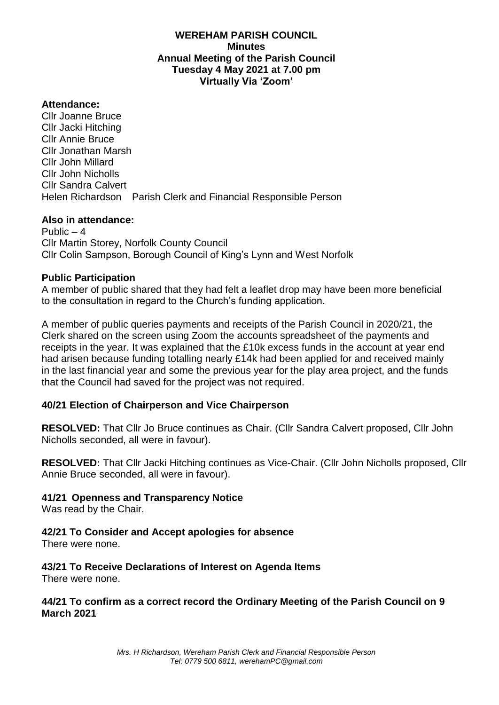## **WEREHAM PARISH COUNCIL Minutes Annual Meeting of the Parish Council Tuesday 4 May 2021 at 7.00 pm Virtually Via 'Zoom'**

#### **Attendance:**

Cllr Joanne Bruce Cllr Jacki Hitching Cllr Annie Bruce Cllr Jonathan Marsh Cllr John Millard Cllr John Nicholls Cllr Sandra Calvert Helen Richardson Parish Clerk and Financial Responsible Person

#### **Also in attendance:**

Public  $-4$ Cllr Martin Storey, Norfolk County Council Cllr Colin Sampson, Borough Council of King's Lynn and West Norfolk

#### **Public Participation**

A member of public shared that they had felt a leaflet drop may have been more beneficial to the consultation in regard to the Church's funding application.

A member of public queries payments and receipts of the Parish Council in 2020/21, the Clerk shared on the screen using Zoom the accounts spreadsheet of the payments and receipts in the year. It was explained that the £10k excess funds in the account at year end had arisen because funding totalling nearly £14k had been applied for and received mainly in the last financial year and some the previous year for the play area project, and the funds that the Council had saved for the project was not required.

## **40/21 Election of Chairperson and Vice Chairperson**

**RESOLVED:** That Cllr Jo Bruce continues as Chair. (Cllr Sandra Calvert proposed, Cllr John Nicholls seconded, all were in favour).

**RESOLVED:** That Cllr Jacki Hitching continues as Vice-Chair. (Cllr John Nicholls proposed, Cllr Annie Bruce seconded, all were in favour).

## **41/21 Openness and Transparency Notice**

Was read by the Chair.

## **42/21 To Consider and Accept apologies for absence**

There were none.

## **43/21 To Receive Declarations of Interest on Agenda Items**

There were none.

## **44/21 To confirm as a correct record the Ordinary Meeting of the Parish Council on 9 March 2021**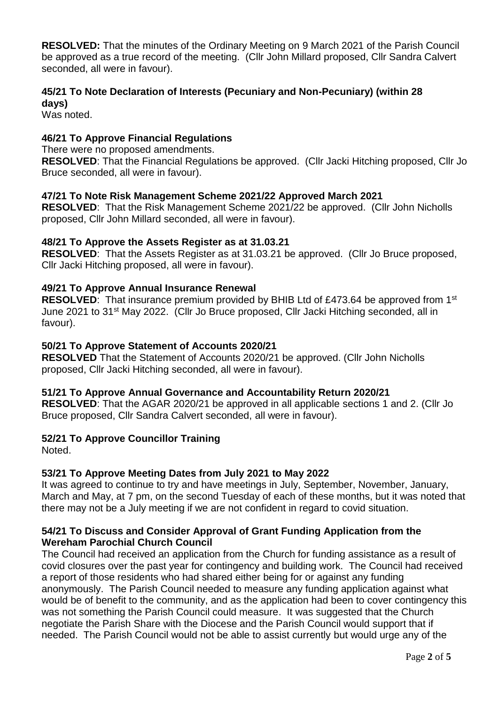**RESOLVED:** That the minutes of the Ordinary Meeting on 9 March 2021 of the Parish Council be approved as a true record of the meeting. (Cllr John Millard proposed, Cllr Sandra Calvert seconded, all were in favour).

# **45/21 To Note Declaration of Interests (Pecuniary and Non-Pecuniary) (within 28 days)**

Was noted.

# **46/21 To Approve Financial Regulations**

There were no proposed amendments.

**RESOLVED**: That the Financial Regulations be approved. (Cllr Jacki Hitching proposed, Cllr Jo Bruce seconded, all were in favour).

## **47/21 To Note Risk Management Scheme 2021/22 Approved March 2021**

**RESOLVED**: That the Risk Management Scheme 2021/22 be approved. (Cllr John Nicholls proposed, Cllr John Millard seconded, all were in favour).

#### **48/21 To Approve the Assets Register as at 31.03.21**

**RESOLVED**: That the Assets Register as at 31.03.21 be approved. (Cllr Jo Bruce proposed, Cllr Jacki Hitching proposed, all were in favour).

#### **49/21 To Approve Annual Insurance Renewal**

**RESOLVED:** That insurance premium provided by BHIB Ltd of £473.64 be approved from 1<sup>st</sup> June 2021 to 31<sup>st</sup> May 2022. (Cllr Jo Bruce proposed, Cllr Jacki Hitching seconded, all in favour).

#### **50/21 To Approve Statement of Accounts 2020/21**

**RESOLVED** That the Statement of Accounts 2020/21 be approved. (Cllr John Nicholls proposed, Cllr Jacki Hitching seconded, all were in favour).

#### **51/21 To Approve Annual Governance and Accountability Return 2020/21**

**RESOLVED**: That the AGAR 2020/21 be approved in all applicable sections 1 and 2. (Cllr Jo Bruce proposed, Cllr Sandra Calvert seconded, all were in favour).

## **52/21 To Approve Councillor Training**

Noted.

## **53/21 To Approve Meeting Dates from July 2021 to May 2022**

It was agreed to continue to try and have meetings in July, September, November, January, March and May, at 7 pm, on the second Tuesday of each of these months, but it was noted that there may not be a July meeting if we are not confident in regard to covid situation.

#### **54/21 To Discuss and Consider Approval of Grant Funding Application from the Wereham Parochial Church Council**

The Council had received an application from the Church for funding assistance as a result of covid closures over the past year for contingency and building work. The Council had received a report of those residents who had shared either being for or against any funding anonymously. The Parish Council needed to measure any funding application against what would be of benefit to the community, and as the application had been to cover contingency this was not something the Parish Council could measure. It was suggested that the Church negotiate the Parish Share with the Diocese and the Parish Council would support that if needed. The Parish Council would not be able to assist currently but would urge any of the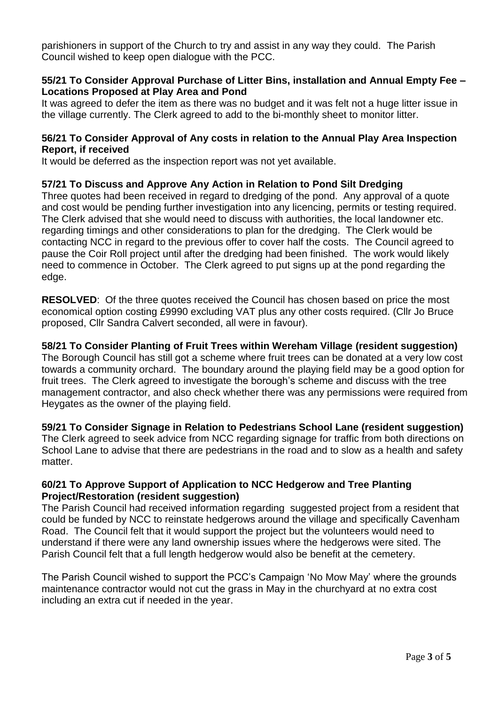parishioners in support of the Church to try and assist in any way they could. The Parish Council wished to keep open dialogue with the PCC.

## **55/21 To Consider Approval Purchase of Litter Bins, installation and Annual Empty Fee – Locations Proposed at Play Area and Pond**

It was agreed to defer the item as there was no budget and it was felt not a huge litter issue in the village currently. The Clerk agreed to add to the bi-monthly sheet to monitor litter.

#### **56/21 To Consider Approval of Any costs in relation to the Annual Play Area Inspection Report, if received**

It would be deferred as the inspection report was not yet available.

## **57/21 To Discuss and Approve Any Action in Relation to Pond Silt Dredging**

Three quotes had been received in regard to dredging of the pond. Any approval of a quote and cost would be pending further investigation into any licencing, permits or testing required. The Clerk advised that she would need to discuss with authorities, the local landowner etc. regarding timings and other considerations to plan for the dredging. The Clerk would be contacting NCC in regard to the previous offer to cover half the costs. The Council agreed to pause the Coir Roll project until after the dredging had been finished. The work would likely need to commence in October. The Clerk agreed to put signs up at the pond regarding the edge.

**RESOLVED:** Of the three quotes received the Council has chosen based on price the most economical option costing £9990 excluding VAT plus any other costs required. (Cllr Jo Bruce proposed, Cllr Sandra Calvert seconded, all were in favour).

#### **58/21 To Consider Planting of Fruit Trees within Wereham Village (resident suggestion)**

The Borough Council has still got a scheme where fruit trees can be donated at a very low cost towards a community orchard. The boundary around the playing field may be a good option for fruit trees. The Clerk agreed to investigate the borough's scheme and discuss with the tree management contractor, and also check whether there was any permissions were required from Heygates as the owner of the playing field.

**59/21 To Consider Signage in Relation to Pedestrians School Lane (resident suggestion)**  The Clerk agreed to seek advice from NCC regarding signage for traffic from both directions on School Lane to advise that there are pedestrians in the road and to slow as a health and safety matter.

#### **60/21 To Approve Support of Application to NCC Hedgerow and Tree Planting Project/Restoration (resident suggestion)**

The Parish Council had received information regarding suggested project from a resident that could be funded by NCC to reinstate hedgerows around the village and specifically Cavenham Road. The Council felt that it would support the project but the volunteers would need to understand if there were any land ownership issues where the hedgerows were sited. The Parish Council felt that a full length hedgerow would also be benefit at the cemetery.

The Parish Council wished to support the PCC's Campaign 'No Mow May' where the grounds maintenance contractor would not cut the grass in May in the churchyard at no extra cost including an extra cut if needed in the year.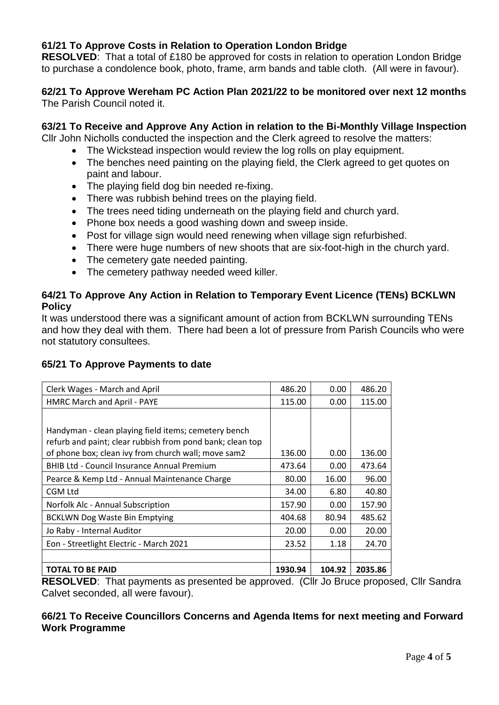# **61/21 To Approve Costs in Relation to Operation London Bridge**

**RESOLVED**: That a total of £180 be approved for costs in relation to operation London Bridge to purchase a condolence book, photo, frame, arm bands and table cloth. (All were in favour).

#### **62/21 To Approve Wereham PC Action Plan 2021/22 to be monitored over next 12 months** The Parish Council noted it.

## **63/21 To Receive and Approve Any Action in relation to the Bi-Monthly Village Inspection**

Cllr John Nicholls conducted the inspection and the Clerk agreed to resolve the matters:

- The Wickstead inspection would review the log rolls on play equipment.
- The benches need painting on the playing field, the Clerk agreed to get quotes on paint and labour.
- The playing field dog bin needed re-fixing.
- There was rubbish behind trees on the playing field.
- The trees need tiding underneath on the playing field and church yard.
- Phone box needs a good washing down and sweep inside.
- Post for village sign would need renewing when village sign refurbished.
- There were huge numbers of new shoots that are six-foot-high in the church yard.
- The cemetery gate needed painting.
- The cemetery pathway needed weed killer.

#### **64/21 To Approve Any Action in Relation to Temporary Event Licence (TENs) BCKLWN Policy**

It was understood there was a significant amount of action from BCKLWN surrounding TENs and how they deal with them. There had been a lot of pressure from Parish Councils who were not statutory consultees.

## **65/21 To Approve Payments to date**

| Clerk Wages - March and April                                                                                     | 486.20  | 0.00   | 486.20  |
|-------------------------------------------------------------------------------------------------------------------|---------|--------|---------|
| HMRC March and April - PAYE                                                                                       | 115.00  | 0.00   | 115.00  |
|                                                                                                                   |         |        |         |
| Handyman - clean playing field items; cemetery bench<br>refurb and paint; clear rubbish from pond bank; clean top |         |        |         |
| of phone box; clean ivy from church wall; move sam2                                                               | 136.00  | 0.00   | 136.00  |
| <b>BHIB Ltd - Council Insurance Annual Premium</b>                                                                | 473.64  | 0.00   | 473.64  |
| Pearce & Kemp Ltd - Annual Maintenance Charge                                                                     | 80.00   | 16.00  | 96.00   |
| <b>CGM Ltd</b>                                                                                                    | 34.00   | 6.80   | 40.80   |
| Norfolk Alc - Annual Subscription                                                                                 | 157.90  | 0.00   | 157.90  |
| <b>BCKLWN Dog Waste Bin Emptying</b>                                                                              | 404.68  | 80.94  | 485.62  |
| Jo Raby - Internal Auditor                                                                                        | 20.00   | 0.00   | 20.00   |
| Eon - Streetlight Electric - March 2021                                                                           | 23.52   | 1.18   | 24.70   |
|                                                                                                                   |         |        |         |
| <b>TOTAL TO BE PAID</b>                                                                                           | 1930.94 | 104.92 | 2035.86 |

**RESOLVED**: That payments as presented be approved. (Cllr Jo Bruce proposed, Cllr Sandra Calvet seconded, all were favour).

## **66/21 To Receive Councillors Concerns and Agenda Items for next meeting and Forward Work Programme**